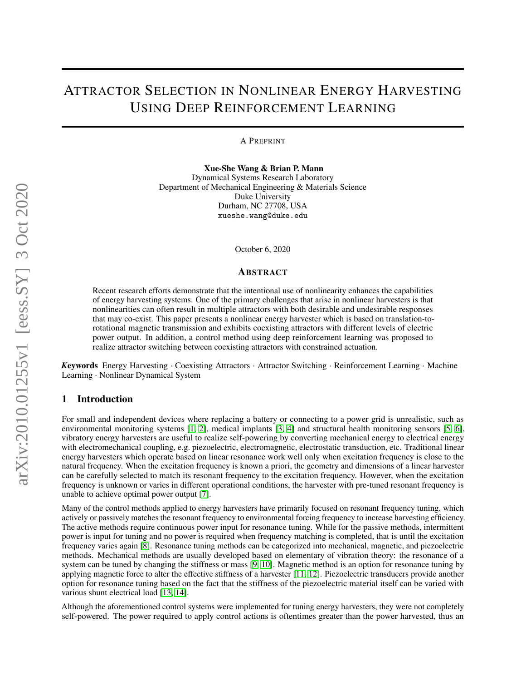# ATTRACTOR SELECTION IN NONLINEAR ENERGY HARVESTING USING DEEP REINFORCEMENT LEARNING

A PREPRINT

Xue-She Wang & Brian P. Mann Dynamical Systems Research Laboratory Department of Mechanical Engineering & Materials Science Duke University Durham, NC 27708, USA xueshe.wang@duke.edu

October 6, 2020

#### ABSTRACT

Recent research efforts demonstrate that the intentional use of nonlinearity enhances the capabilities of energy harvesting systems. One of the primary challenges that arise in nonlinear harvesters is that nonlinearities can often result in multiple attractors with both desirable and undesirable responses that may co-exist. This paper presents a nonlinear energy harvester which is based on translation-torotational magnetic transmission and exhibits coexisting attractors with different levels of electric power output. In addition, a control method using deep reinforcement learning was proposed to realize attractor switching between coexisting attractors with constrained actuation.

*K*eywords Energy Harvesting · Coexisting Attractors · Attractor Switching · Reinforcement Learning · Machine Learning · Nonlinear Dynamical System

#### 1 Introduction

For small and independent devices where replacing a battery or connecting to a power grid is unrealistic, such as environmental monitoring systems [\[1,](#page-15-0) [2\]](#page-15-1), medical implants [\[3,](#page-15-2) [4\]](#page-15-3) and structural health monitoring sensors [\[5,](#page-16-0) [6\]](#page-16-1), vibratory energy harvesters are useful to realize self-powering by converting mechanical energy to electrical energy with electromechanical coupling, e.g. piezoelectric, electromagnetic, electrostatic transduction, etc. Traditional linear energy harvesters which operate based on linear resonance work well only when excitation frequency is close to the natural frequency. When the excitation frequency is known a priori, the geometry and dimensions of a linear harvester can be carefully selected to match its resonant frequency to the excitation frequency. However, when the excitation frequency is unknown or varies in different operational conditions, the harvester with pre-tuned resonant frequency is unable to achieve optimal power output [\[7\]](#page-16-2).

Many of the control methods applied to energy harvesters have primarily focused on resonant frequency tuning, which actively or passively matches the resonant frequency to environmental forcing frequency to increase harvesting efficiency. The active methods require continuous power input for resonance tuning. While for the passive methods, intermittent power is input for tuning and no power is required when frequency matching is completed, that is until the excitation frequency varies again [\[8\]](#page-16-3). Resonance tuning methods can be categorized into mechanical, magnetic, and piezoelectric methods. Mechanical methods are usually developed based on elementary of vibration theory: the resonance of a system can be tuned by changing the stiffness or mass [\[9,](#page-16-4) [10\]](#page-16-5). Magnetic method is an option for resonance tuning by applying magnetic force to alter the effective stiffness of a harvester [\[11,](#page-16-6) [12\]](#page-16-7). Piezoelectric transducers provide another option for resonance tuning based on the fact that the stiffness of the piezoelectric material itself can be varied with various shunt electrical load [\[13,](#page-16-8) [14\]](#page-16-9).

Although the aforementioned control systems were implemented for tuning energy harvesters, they were not completely self-powered. The power required to apply control actions is oftentimes greater than the power harvested, thus an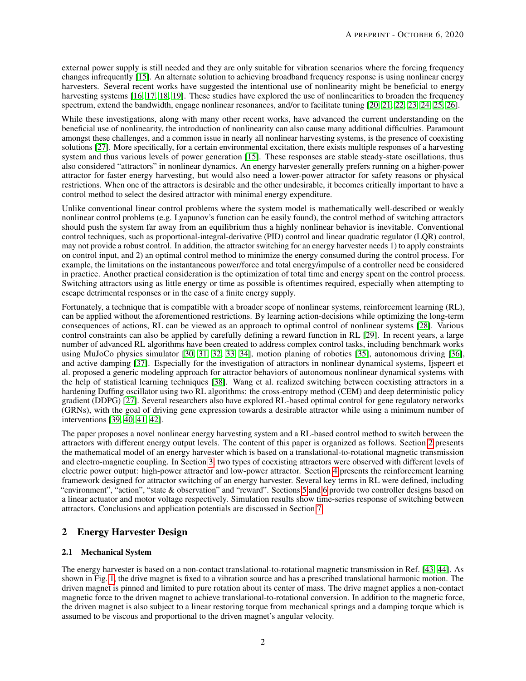external power supply is still needed and they are only suitable for vibration scenarios where the forcing frequency changes infrequently [\[15\]](#page-16-10). An alternate solution to achieving broadband frequency response is using nonlinear energy harvesters. Several recent works have suggested the intentional use of nonlinearity might be beneficial to energy harvesting systems [\[16,](#page-16-11) [17,](#page-16-12) [18,](#page-16-13) [19\]](#page-16-14). These studies have explored the use of nonlinearities to broaden the frequency spectrum, extend the bandwidth, engage nonlinear resonances, and/or to facilitate tuning [\[20,](#page-16-15) [21,](#page-16-16) [22,](#page-16-17) [23,](#page-16-18) [24,](#page-16-19) [25,](#page-16-20) [26\]](#page-16-21).

While these investigations, along with many other recent works, have advanced the current understanding on the beneficial use of nonlinearity, the introduction of nonlinearity can also cause many additional difficulties. Paramount amongst these challenges, and a common issue in nearly all nonlinear harvesting systems, is the presence of coexisting solutions [\[27\]](#page-16-22). More specifically, for a certain environmental excitation, there exists multiple responses of a harvesting system and thus various levels of power generation [\[15\]](#page-16-10). These responses are stable steady-state oscillations, thus also considered "attractors" in nonlinear dynamics. An energy harvester generally prefers running on a higher-power attractor for faster energy harvesting, but would also need a lower-power attractor for safety reasons or physical restrictions. When one of the attractors is desirable and the other undesirable, it becomes critically important to have a control method to select the desired attractor with minimal energy expenditure.

Unlike conventional linear control problems where the system model is mathematically well-described or weakly nonlinear control problems (e.g. Lyapunov's function can be easily found), the control method of switching attractors should push the system far away from an equilibrium thus a highly nonlinear behavior is inevitable. Conventional control techniques, such as proportional-integral-derivative (PID) control and linear quadratic regulator (LQR) control, may not provide a robust control. In addition, the attractor switching for an energy harvester needs 1) to apply constraints on control input, and 2) an optimal control method to minimize the energy consumed during the control process. For example, the limitations on the instantaneous power/force and total energy/impulse of a controller need be considered in practice. Another practical consideration is the optimization of total time and energy spent on the control process. Switching attractors using as little energy or time as possible is oftentimes required, especially when attempting to escape detrimental responses or in the case of a finite energy supply.

Fortunately, a technique that is compatible with a broader scope of nonlinear systems, reinforcement learning (RL), can be applied without the aforementioned restrictions. By learning action-decisions while optimizing the long-term consequences of actions, RL can be viewed as an approach to optimal control of nonlinear systems [\[28\]](#page-17-0). Various control constraints can also be applied by carefully defining a reward function in RL [\[29\]](#page-17-1). In recent years, a large number of advanced RL algorithms have been created to address complex control tasks, including benchmark works using MuJoCo physics simulator [\[30,](#page-17-2) [31,](#page-17-3) [32,](#page-17-4) [33,](#page-17-5) [34\]](#page-17-6), motion planing of robotics [\[35\]](#page-17-7), autonomous driving [\[36\]](#page-17-8), and active damping [\[37\]](#page-17-9). Especially for the investigation of attractors in nonlinear dynamical systems, Ijspeert et al. proposed a generic modeling approach for attractor behaviors of autonomous nonlinear dynamical systems with the help of statistical learning techniques [\[38\]](#page-17-10). Wang et al. realized switching between coexisting attractors in a hardening Duffing oscillator using two RL algorithms: the cross-entropy method (CEM) and deep deterministic policy gradient (DDPG) [\[27\]](#page-16-22). Several researchers also have explored RL-based optimal control for gene regulatory networks (GRNs), with the goal of driving gene expression towards a desirable attractor while using a minimum number of interventions [\[39,](#page-17-11) [40,](#page-17-12) [41,](#page-17-13) [42\]](#page-17-14).

The paper proposes a novel nonlinear energy harvesting system and a RL-based control method to switch between the attractors with different energy output levels. The content of this paper is organized as follows. Section [2](#page-1-0) presents the mathematical model of an energy harvester which is based on a translational-to-rotational magnetic transmission and electro-magnetic coupling. In Section [3,](#page-3-0) two types of coexisting attractors were observed with different levels of electric power output: high-power attractor and low-power attractor. Section [4](#page-3-1) presents the reinforcement learning framework designed for attractor switching of an energy harvester. Several key terms in RL were defined, including "environment", "action", "state & observation" and "reward". Sections [5](#page-8-0) and [6](#page-11-0) provide two controller designs based on a linear actuator and motor voltage respectively. Simulation results show time-series response of switching between attractors. Conclusions and application potentials are discussed in Section [7.](#page-14-0)

# <span id="page-1-0"></span>2 Energy Harvester Design

## 2.1 Mechanical System

The energy harvester is based on a non-contact translational-to-rotational magnetic transmission in Ref. [\[43,](#page-17-15) [44\]](#page-17-16). As shown in Fig. [1,](#page-2-0) the drive magnet is fixed to a vibration source and has a prescribed translational harmonic motion. The driven magnet is pinned and limited to pure rotation about its center of mass. The drive magnet applies a non-contact magnetic force to the driven magnet to achieve translational-to-rotational conversion. In addition to the magnetic force, the driven magnet is also subject to a linear restoring torque from mechanical springs and a damping torque which is assumed to be viscous and proportional to the driven magnet's angular velocity.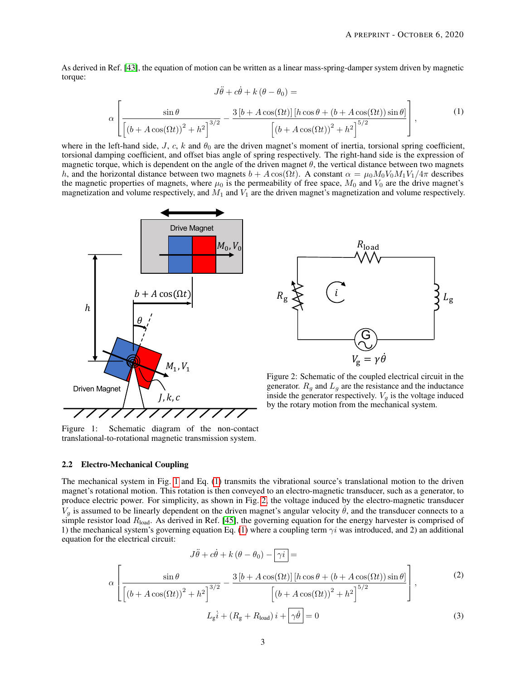As derived in Ref. [\[43\]](#page-17-15), the equation of motion can be written as a linear mass-spring-damper system driven by magnetic torque:

<span id="page-2-1"></span>
$$
J\ddot{\theta} + c\dot{\theta} + k(\theta - \theta_0) =
$$

$$
\alpha \left[ \frac{\sin \theta}{\left[ (b + A\cos(\Omega t))^2 + h^2 \right]^{3/2}} - \frac{3[b + A\cos(\Omega t)] \left[ h\cos \theta + (b + A\cos(\Omega t)) \sin \theta \right]}{\left[ (b + A\cos(\Omega t))^2 + h^2 \right]^{5/2}} \right],
$$
(1)

where in the left-hand side,  $J, c, k$  and  $\theta_0$  are the driven magnet's moment of inertia, torsional spring coefficient, torsional damping coefficient, and offset bias angle of spring respectively. The right-hand side is the expression of magnetic torque, which is dependent on the angle of the driven magnet  $\theta$ , the vertical distance between two magnets h, and the horizontal distance between two magnets  $b + A \cos(\Omega t)$ . A constant  $\alpha = \mu_0 M_0 V_0 M_1 V_1/4\pi$  describes the magnetic properties of magnets, where  $\mu_0$  is the permeability of free space,  $M_0$  and  $V_0$  are the drive magnet's magnetization and volume respectively, and  $M_1$  and  $V_1$  are the driven magnet's magnetization and volume respectively.

<span id="page-2-0"></span>

Figure 1: Schematic diagram of the non-contact translational-to-rotational magnetic transmission system.

## 2.2 Electro-Mechanical Coupling



Figure 2: Schematic of the coupled electrical circuit in the generator.  $R_g$  and  $L_g$  are the resistance and the inductance inside the generator respectively.  $V_g$  is the voltage induced by the rotary motion from the mechanical system.

The mechanical system in Fig. [1](#page-2-0) and Eq. [\(1\)](#page-2-1) transmits the vibrational source's translational motion to the driven magnet's rotational motion. This rotation is then conveyed to an electro-magnetic transducer, such as a generator, to produce electric power. For simplicity, as shown in Fig. [2,](#page-2-0) the voltage induced by the electro-magnetic transducer  $V_g$  is assumed to be linearly dependent on the driven magnet's angular velocity  $\dot{\theta}$ , and the transducer connects to a simple resistor load  $R_{load}$ . As derived in Ref. [\[45\]](#page-17-17), the governing equation for the energy harvester is comprised of 1) the mechanical system's governing equation Eq. [\(1\)](#page-2-1) where a coupling term  $\gamma i$  was introduced, and 2) an additional equation for the electrical circuit:

<span id="page-2-3"></span><span id="page-2-2"></span>
$$
J\ddot{\theta} + c\dot{\theta} + k(\theta - \theta_0) - \gamma i =
$$
  

$$
\alpha \left[ \frac{\sin \theta}{\left[ (b + A\cos(\Omega t))^2 + h^2 \right]^{3/2}} - \frac{3[b + A\cos(\Omega t)] \left[ h\cos \theta + (b + A\cos(\Omega t)) \sin \theta \right]}{\left[ (b + A\cos(\Omega t))^2 + h^2 \right]^{5/2}} \right],
$$
(2)  

$$
L_g \dot{i} + (R_g + R_{\text{load}}) i + \gamma \dot{\theta} = 0
$$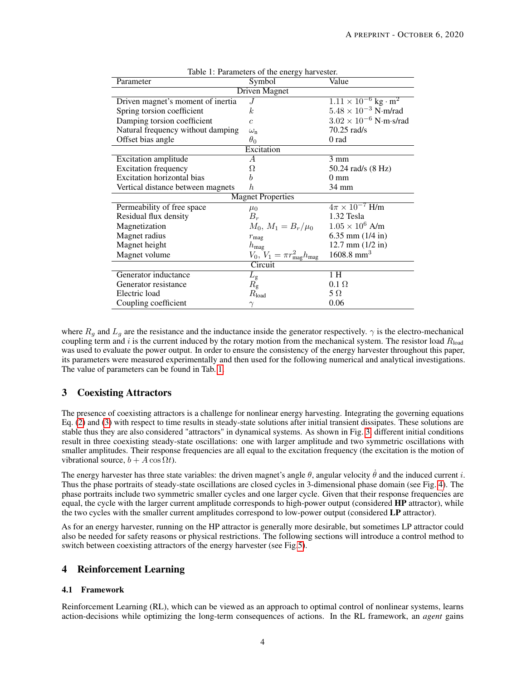<span id="page-3-2"></span>

| rable 1. Parameters of the energy harvester. |                                                  |                                           |  |  |
|----------------------------------------------|--------------------------------------------------|-------------------------------------------|--|--|
| Parameter                                    | Symbol                                           | Value                                     |  |  |
| <b>Driven Magnet</b>                         |                                                  |                                           |  |  |
| Driven magnet's moment of inertia            | .J                                               | $1.11 \times 10^{-6}$ kg · m <sup>2</sup> |  |  |
| Spring torsion coefficient                   | k.                                               | $5.48 \times 10^{-3}$ N·m/rad             |  |  |
| Damping torsion coefficient                  | $\overline{c}$                                   | $3.02 \times 10^{-6}$ N·m·s/rad           |  |  |
| Natural frequency without damping            | $\omega_{\rm n}$                                 | 70.25 rad/s                               |  |  |
| Offset bias angle                            | $\theta_0$                                       | 0 rad                                     |  |  |
| Excitation                                   |                                                  |                                           |  |  |
| <b>Excitation</b> amplitude                  | А                                                | $3 \text{ mm}$                            |  |  |
| <b>Excitation frequency</b>                  | Ω                                                | 50.24 rad/s (8 Hz)                        |  |  |
| <b>Excitation horizontal bias</b>            | b                                                | $0 \text{ mm}$                            |  |  |
| Vertical distance between magnets            | $\boldsymbol{h}$                                 | 34 mm                                     |  |  |
| <b>Magnet Properties</b>                     |                                                  |                                           |  |  |
| Permeability of free space                   | $\mu_0$                                          | $4\pi \times 10^{-7}$ H/m                 |  |  |
| Residual flux density                        | $B_r$                                            | 1.32 Tesla                                |  |  |
| Magnetization                                | $M_0, M_1 = B_r/\mu_0$                           | $1.05 \times 10^6$ A/m                    |  |  |
| Magnet radius                                | $r_{\rm mag}$                                    | 6.35 mm $(1/4$ in)                        |  |  |
| Magnet height                                | $h_{\text{mag}}$                                 | $12.7$ mm $(1/2$ in)                      |  |  |
| Magnet volume                                | $V_0, V_1 = \pi r_{\text{mag}}^2 h_{\text{mag}}$ | $1608.8$ mm <sup>3</sup>                  |  |  |
| Circuit                                      |                                                  |                                           |  |  |
| Generator inductance                         | $L_{\rm g}$                                      | 1H                                        |  |  |
| Generator resistance                         | $R_{\rm g}$                                      | $0.1 \Omega$                              |  |  |
| Electric load                                | $R_{\rm load}$                                   | $5 \Omega$                                |  |  |
| Coupling coefficient                         | $\gamma$                                         | 0.06                                      |  |  |

Table 1: Parameters of the energy harvester.

where  $R_q$  and  $L_q$  are the resistance and the inductance inside the generator respectively.  $\gamma$  is the electro-mechanical coupling term and i is the current induced by the rotary motion from the mechanical system. The resistor load  $R_{load}$ was used to evaluate the power output. In order to ensure the consistency of the energy harvester throughout this paper, its parameters were measured experimentally and then used for the following numerical and analytical investigations. The value of parameters can be found in Tab. [1.](#page-3-2)

## <span id="page-3-0"></span>3 Coexisting Attractors

The presence of coexisting attractors is a challenge for nonlinear energy harvesting. Integrating the governing equations Eq. [\(2\)](#page-2-2) and [\(3\)](#page-2-3) with respect to time results in steady-state solutions after initial transient dissipates. These solutions are stable thus they are also considered "attractors" in dynamical systems. As shown in Fig. [3,](#page-4-0) different initial conditions result in three coexisting steady-state oscillations: one with larger amplitude and two symmetric oscillations with smaller amplitudes. Their response frequencies are all equal to the excitation frequency (the excitation is the motion of vibrational source,  $b + A \cos \Omega t$ .

The energy harvester has three state variables: the driven magnet's angle  $\theta$ , angular velocity  $\dot{\theta}$  and the induced current i. Thus the phase portraits of steady-state oscillations are closed cycles in 3-dimensional phase domain (see Fig. [4\)](#page-4-1). The phase portraits include two symmetric smaller cycles and one larger cycle. Given that their response frequencies are equal, the cycle with the larger current amplitude corresponds to high-power output (considered HP attractor), while the two cycles with the smaller current amplitudes correspond to low-power output (considered LP attractor).

As for an energy harvester, running on the HP attractor is generally more desirable, but sometimes LP attractor could also be needed for safety reasons or physical restrictions. The following sections will introduce a control method to switch between coexisting attractors of the energy harvester (see Fig[.5\)](#page-5-0).

## <span id="page-3-1"></span>4 Reinforcement Learning

#### 4.1 Framework

Reinforcement Learning (RL), which can be viewed as an approach to optimal control of nonlinear systems, learns action-decisions while optimizing the long-term consequences of actions. In the RL framework, an *agent* gains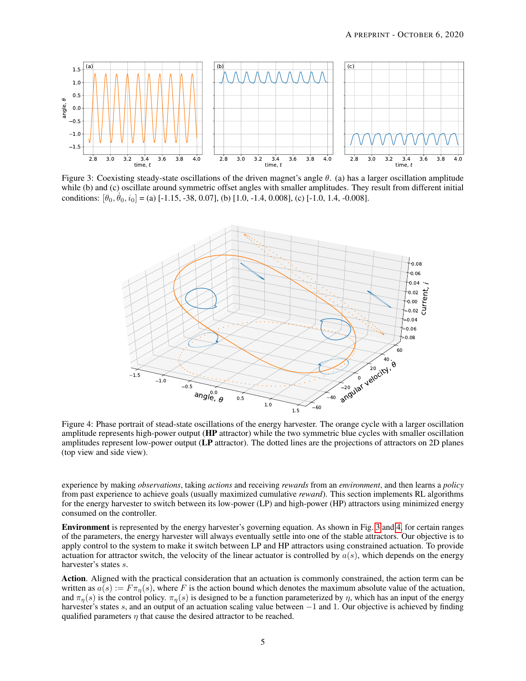<span id="page-4-0"></span>

<span id="page-4-1"></span>Figure 3: Coexisting steady-state oscillations of the driven magnet's angle  $\theta$ . (a) has a larger oscillation amplitude while (b) and (c) oscillate around symmetric offset angles with smaller amplitudes. They result from different initial conditions:  $[\theta_0, \dot{\theta}_0, i_0] =$  (a) [-1.15, -38, 0.07], (b) [1.0, -1.4, 0.008], (c) [-1.0, 1.4, -0.008].



Figure 4: Phase portrait of stead-state oscillations of the energy harvester. The orange cycle with a larger oscillation amplitude represents high-power output (HP attractor) while the two symmetric blue cycles with smaller oscillation amplitudes represent low-power output (LP attractor). The dotted lines are the projections of attractors on 2D planes (top view and side view).

experience by making *observations*, taking *actions* and receiving *rewards* from an *environment*, and then learns a *policy* from past experience to achieve goals (usually maximized cumulative *reward*). This section implements RL algorithms for the energy harvester to switch between its low-power (LP) and high-power (HP) attractors using minimized energy consumed on the controller.

Environment is represented by the energy harvester's governing equation. As shown in Fig. [3](#page-4-0) and [4,](#page-4-1) for certain ranges of the parameters, the energy harvester will always eventually settle into one of the stable attractors. Our objective is to apply control to the system to make it switch between LP and HP attractors using constrained actuation. To provide actuation for attractor switch, the velocity of the linear actuator is controlled by  $a(s)$ , which depends on the energy harvester's states s.

Action. Aligned with the practical consideration that an actuation is commonly constrained, the action term can be written as  $a(s) := F \pi_n(s)$ , where F is the action bound which denotes the maximum absolute value of the actuation, and  $\pi_{\eta}(s)$  is the control policy.  $\pi_{\eta}(s)$  is designed to be a function parameterized by  $\eta$ , which has an input of the energy harvester's states s, and an output of an actuation scaling value between −1 and 1. Our objective is achieved by finding qualified parameters  $\eta$  that cause the desired attractor to be reached.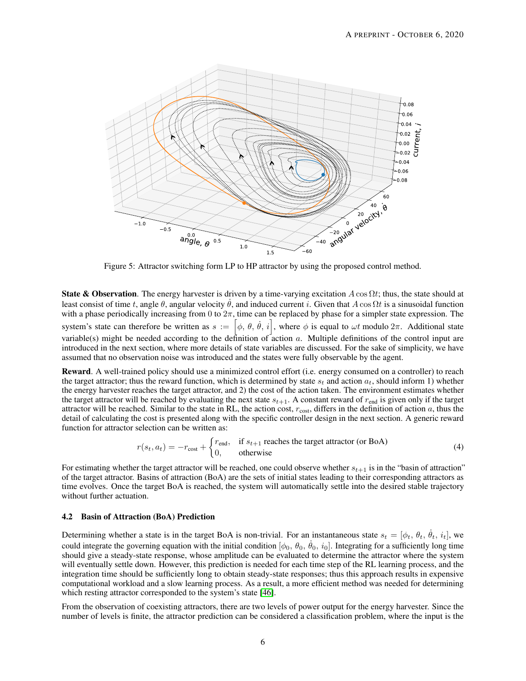<span id="page-5-0"></span>

Figure 5: Attractor switching form LP to HP attractor by using the proposed control method.

**State & Observation**. The energy harvester is driven by a time-varying excitation  $A \cos \Omega t$ ; thus, the state should at least consist of time t, angle  $\theta$ , angular velocity  $\dot{\theta}$ , and induced current i. Given that  $A \cos \Omega t$  is a sinusoidal function with a phase periodically increasing from 0 to  $2\pi$ , time can be replaced by phase for a simpler state expression. The system's state can therefore be written as  $s := [\phi, \theta, \dot{\theta}, i]$ , where  $\phi$  is equal to  $\omega t$  modulo  $2\pi$ . Additional state variable(s) might be needed according to the definition of action a. Multiple definitions of the control input are introduced in the next section, where more details of state variables are discussed. For the sake of simplicity, we have assumed that no observation noise was introduced and the states were fully observable by the agent.

Reward. A well-trained policy should use a minimized control effort (i.e. energy consumed on a controller) to reach the target attractor; thus the reward function, which is determined by state  $s_t$  and action  $a_t$ , should inform 1) whether the energy harvester reaches the target attractor, and 2) the cost of the action taken. The environment estimates whether the target attractor will be reached by evaluating the next state  $s_{t+1}$ . A constant reward of  $r_{end}$  is given only if the target attractor will be reached. Similar to the state in RL, the action cost,  $r_{\text{cost}}$ , differs in the definition of action a, thus the detail of calculating the cost is presented along with the specific controller design in the next section. A generic reward function for attractor selection can be written as:

$$
r(s_t, a_t) = -r_{\text{cost}} + \begin{cases} r_{\text{end}}, & \text{if } s_{t+1} \text{ reaches the target attractor (or BoA)}\\ 0, & \text{otherwise} \end{cases}
$$
(4)

For estimating whether the target attractor will be reached, one could observe whether  $s_{t+1}$  is in the "basin of attraction" of the target attractor. Basins of attraction (BoA) are the sets of initial states leading to their corresponding attractors as time evolves. Once the target BoA is reached, the system will automatically settle into the desired stable trajectory without further actuation.

#### 4.2 Basin of Attraction (BoA) Prediction

Determining whether a state is in the target BoA is non-trivial. For an instantaneous state  $s_t = [\phi_t, \theta_t, \dot{\theta}_t, i_t]$ , we could integrate the governing equation with the initial condition  $[\phi_0, \theta_0, \dot{\theta}_0, i_0]$ . Integrating for a sufficiently long time should give a steady-state response, whose amplitude can be evaluated to determine the attractor where the system will eventually settle down. However, this prediction is needed for each time step of the RL learning process, and the integration time should be sufficiently long to obtain steady-state responses; thus this approach results in expensive computational workload and a slow learning process. As a result, a more efficient method was needed for determining which resting attractor corresponded to the system's state [\[46\]](#page-17-18).

From the observation of coexisting attractors, there are two levels of power output for the energy harvester. Since the number of levels is finite, the attractor prediction can be considered a classification problem, where the input is the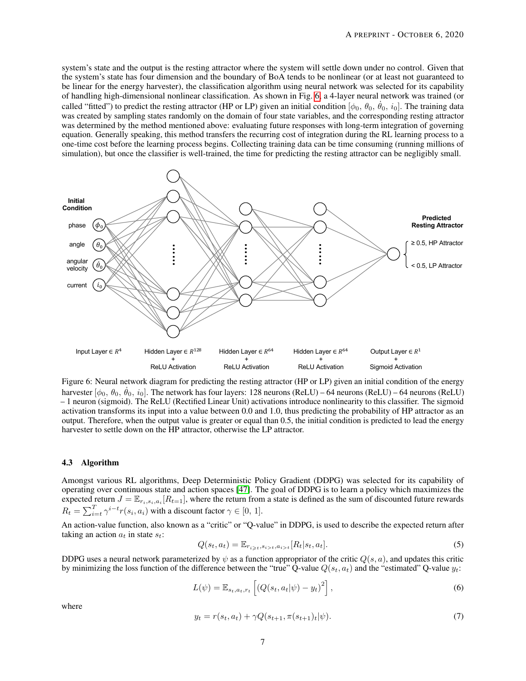system's state and the output is the resting attractor where the system will settle down under no control. Given that the system's state has four dimension and the boundary of BoA tends to be nonlinear (or at least not guaranteed to be linear for the energy harvester), the classification algorithm using neural network was selected for its capability of handling high-dimensional nonlinear classification. As shown in Fig. [6,](#page-6-0) a 4-layer neural network was trained (or called "fitted") to predict the resting attractor (HP or LP) given an initial condition  $[\phi_0, \theta_0, \dot{\theta}_0, i_0]$ . The training data was created by sampling states randomly on the domain of four state variables, and the corresponding resting attractor was determined by the method mentioned above: evaluating future responses with long-term integration of governing equation. Generally speaking, this method transfers the recurring cost of integration during the RL learning process to a one-time cost before the learning process begins. Collecting training data can be time consuming (running millions of simulation), but once the classifier is well-trained, the time for predicting the resting attractor can be negligibly small.

<span id="page-6-0"></span>

Figure 6: Neural network diagram for predicting the resting attractor (HP or LP) given an initial condition of the energy harvester  $[\phi_0, \theta_0, \dot{\theta}_0, i_0]$ . The network has four layers: 128 neurons (ReLU) – 64 neurons (ReLU) – 64 neurons (ReLU) – 1 neuron (sigmoid). The ReLU (Rectified Linear Unit) activations introduce nonlinearity to this classifier. The sigmoid activation transforms its input into a value between 0.0 and 1.0, thus predicting the probability of HP attractor as an output. Therefore, when the output value is greater or equal than 0.5, the initial condition is predicted to lead the energy harvester to settle down on the HP attractor, otherwise the LP attractor.

#### 4.3 Algorithm

Amongst various RL algorithms, Deep Deterministic Policy Gradient (DDPG) was selected for its capability of operating over continuous state and action spaces [\[47\]](#page-17-19). The goal of DDPG is to learn a policy which maximizes the expected return  $J = \mathbb{E}_{r_i,s_i,a_i}[R_{t=1}]$ , where the return from a state is defined as the sum of discounted future rewards  $R_t = \sum_{i=t}^{T} \gamma^{i-t} r(s_i, a_i)$  with a discount factor  $\gamma \in [0, 1]$ .

An action-value function, also known as a "critic" or "Q-value" in DDPG, is used to describe the expected return after taking an action  $a_t$  in state  $s_t$ :

$$
Q(s_t, a_t) = \mathbb{E}_{r_{i \ge t}, s_{i>t}, a_{i>t}}[R_t|s_t, a_t].
$$
\n
$$
(5)
$$

DDPG uses a neural network parameterized by  $\psi$  as a function appropriator of the critic  $Q(s, a)$ , and updates this critic by minimizing the loss function of the difference between the "true" Q-value  $Q(s_t, a_t)$  and the "estimated" Q-value  $y_t$ :

$$
L(\psi) = \mathbb{E}_{s_t, a_t, r_t} \left[ \left( Q(s_t, a_t | \psi) - y_t \right)^2 \right],\tag{6}
$$

<span id="page-6-1"></span>where

$$
y_t = r(s_t, a_t) + \gamma Q(s_{t+1}, \pi(s_{t+1})_t | \psi). \tag{7}
$$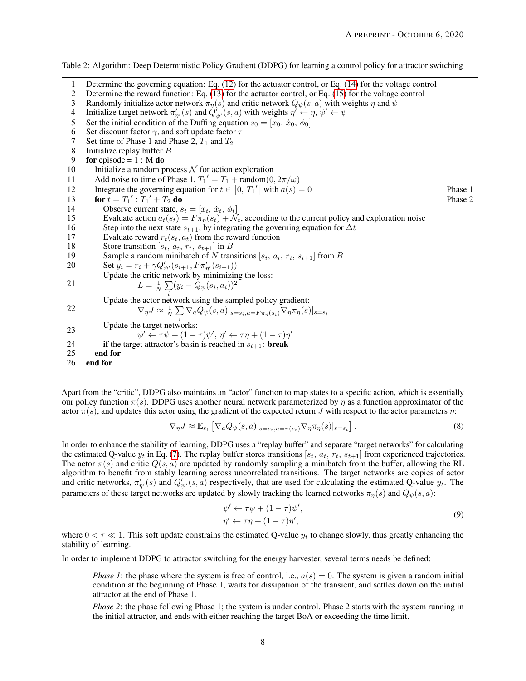| 1              | Determine the governing equation: Eq. $(12)$ for the actuator control, or Eq. $(14)$ for the voltage control                       |         |
|----------------|------------------------------------------------------------------------------------------------------------------------------------|---------|
| $\overline{c}$ | Determine the reward function: Eq. $(13)$ for the actuator control, or Eq. $(15)$ for the voltage control                          |         |
| 3              | Randomly initialize actor network $\pi_n(s)$ and critic network $Q_{\psi}(s, a)$ with weights $\eta$ and $\psi$                    |         |
| 4              | Initialize target network $\pi'_{\eta'}(s)$ and $Q'_{\psi'}(s, a)$ with weights $\eta' \leftarrow \eta$ , $\psi' \leftarrow \psi$  |         |
| 5              | Set the initial condition of the Duffing equation $s_0 = [x_0, \dot{x}_0, \phi_0]$                                                 |         |
| 6              | Set discount factor $\gamma$ , and soft update factor $\tau$                                                                       |         |
| 7              | Set time of Phase 1 and Phase 2, $T_1$ and $T_2$                                                                                   |         |
| 8              | Initialize replay buffer $B$                                                                                                       |         |
| 9              | for episode = $1: M$ do                                                                                                            |         |
| 10             | Initialize a random process $N$ for action exploration                                                                             |         |
| 11             | Add noise to time of Phase 1, $T_1' = T_1 + \text{random}(0, 2\pi/\omega)$                                                         |         |
| 12             | Integrate the governing equation for $t \in [0, T_1']$ with $a(s) = 0$                                                             | Phase 1 |
| 13             | for $t = T_1'$ : $T_1' + T_2$ do                                                                                                   | Phase 2 |
| 14             | Observe current state, $s_t = [x_t, \dot{x}_t, \phi_t]$                                                                            |         |
| 15             | Evaluate action $a_t(s_t) = F \pi_{\eta}(s_t) + \mathcal{N}_t$ , according to the current policy and exploration noise             |         |
| 16             | Step into the next state $s_{t+1}$ , by integrating the governing equation for $\Delta t$                                          |         |
| 17             | Evaluate reward $r_t(s_t, a_t)$ from the reward function                                                                           |         |
| 18             | Store transition [ $s_t$ , $a_t$ , $r_t$ , $s_{t+1}$ ] in B                                                                        |         |
| 19             | Sample a random minibatch of N transitions [ $s_i$ , $a_i$ , $r_i$ , $s_{i+1}$ ] from B                                            |         |
| 20             | Set $y_i = r_i + \gamma Q'_{\psi'}(s_{i+1}, F \pi'_{\eta'}(s_{i+1}))$                                                              |         |
|                | Update the critic network by minimizing the loss:                                                                                  |         |
| 21             | $L = \frac{1}{N} \sum_{i} (y_i - Q_{\psi}(s_i, a_i))^2$                                                                            |         |
|                | Update the actor network using the sampled policy gradient:                                                                        |         |
| 22             | $\nabla_{\eta}J\approx\frac{1}{N}\sum\nabla_{a}Q_{\psi}(s,a) _{s=s_{i},a=F\pi_{\eta}(s_{i})}\nabla_{\eta}\pi_{\eta}(s) _{s=s_{i}}$ |         |
|                |                                                                                                                                    |         |
| 23             | Update the target networks:<br>$\psi' \leftarrow \tau \psi + (1 - \tau)\psi', \eta' \leftarrow \tau \eta + (1 - \tau)\eta'$        |         |
| 24             | if the target attractor's basin is reached in $s_{t+1}$ : break                                                                    |         |
| 25             | end for                                                                                                                            |         |
| 26             | end for                                                                                                                            |         |
|                |                                                                                                                                    |         |

<span id="page-7-0"></span>Table 2: Algorithm: Deep Deterministic Policy Gradient (DDPG) for learning a control policy for attractor switching

Apart from the "critic", DDPG also maintains an "actor" function to map states to a specific action, which is essentially our policy function  $\pi(s)$ . DDPG uses another neural network parameterized by  $\eta$  as a function approximator of the actor  $\pi(s)$ , and updates this actor using the gradient of the expected return J with respect to the actor parameters  $\eta$ :

$$
\nabla_{\eta} J \approx \mathbb{E}_{s_t} \left[ \nabla_a Q_{\psi}(s, a) \vert_{s = s_t, a = \pi(s_t)} \nabla_{\eta} \pi_{\eta}(s) \vert_{s = s_t} \right]. \tag{8}
$$

In order to enhance the stability of learning, DDPG uses a "replay buffer" and separate "target networks" for calculating the estimated Q-value  $y_t$  in Eq. [\(7\)](#page-6-1). The replay buffer stores transitions [ $s_t$ ,  $a_t$ ,  $r_t$ ,  $s_{t+1}$ ] from experienced trajectories. The actor  $\pi(s)$  and critic  $Q(s, a)$  are updated by randomly sampling a minibatch from the buffer, allowing the RL algorithm to benefit from stably learning across uncorrelated transitions. The target networks are copies of actor and critic networks,  $\pi'_{\eta'}(s)$  and  $Q'_{\psi'}(s,a)$  respectively, that are used for calculating the estimated Q-value  $y_t$ . The parameters of these target networks are updated by slowly tracking the learned networks  $\pi_n(s)$  and  $Q_{\psi}(s, a)$ :

$$
\psi' \leftarrow \tau \psi + (1 - \tau)\psi', \n\eta' \leftarrow \tau \eta + (1 - \tau)\eta',
$$
\n(9)

where  $0 < \tau \ll 1$ . This soft update constrains the estimated Q-value  $y_t$  to change slowly, thus greatly enhancing the stability of learning.

In order to implement DDPG to attractor switching for the energy harvester, several terms needs be defined:

*Phase 1*: the phase where the system is free of control, i.e.,  $a(s) = 0$ . The system is given a random initial condition at the beginning of Phase 1, waits for dissipation of the transient, and settles down on the initial attractor at the end of Phase 1.

*Phase 2*: the phase following Phase 1; the system is under control. Phase 2 starts with the system running in the initial attractor, and ends with either reaching the target BoA or exceeding the time limit.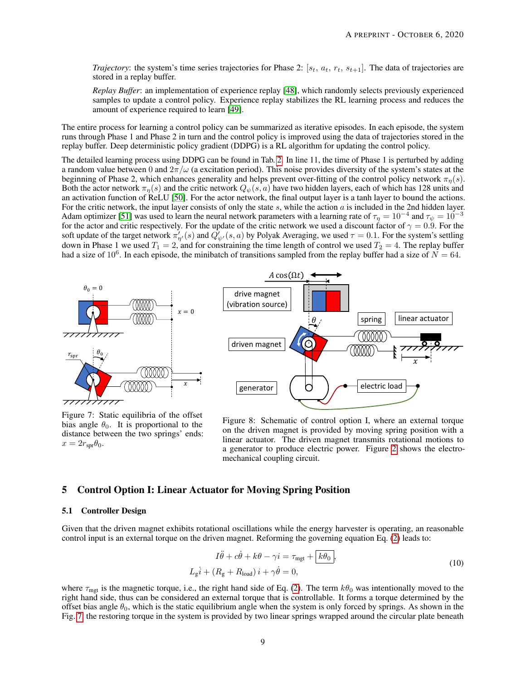*Trajectory*: the system's time series trajectories for Phase 2:  $[s_t, a_t, r_t, s_{t+1}]$ . The data of trajectories are stored in a replay buffer.

*Replay Buffer*: an implementation of experience replay [\[48\]](#page-17-20), which randomly selects previously experienced samples to update a control policy. Experience replay stabilizes the RL learning process and reduces the amount of experience required to learn [\[49\]](#page-17-21).

The entire process for learning a control policy can be summarized as iterative episodes. In each episode, the system runs through Phase 1 and Phase 2 in turn and the control policy is improved using the data of trajectories stored in the replay buffer. Deep deterministic policy gradient (DDPG) is a RL algorithm for updating the control policy.

The detailed learning process using DDPG can be found in Tab. [2.](#page-7-0) In line 11, the time of Phase 1 is perturbed by adding a random value between 0 and  $2\pi/\omega$  (a excitation period). This noise provides diversity of the system's states at the beginning of Phase 2, which enhances generality and helps prevent over-fitting of the control policy network  $\pi_n(s)$ . Both the actor network  $\pi_{\eta}(s)$  and the critic network  $Q_{\psi}(s, a)$  have two hidden layers, each of which has 128 units and an activation function of ReLU [\[50\]](#page-18-0). For the actor network, the final output layer is a tanh layer to bound the actions. For the critic network, the input layer consists of only the state s, while the action  $a$  is included in the 2nd hidden layer. Adam optimizer [\[51\]](#page-18-1) was used to learn the neural network parameters with a learning rate of  $\tau_\eta=10^{-4}$  and  $\tau_\psi=10^{-3}$ for the actor and critic respectively. For the update of the critic network we used a discount factor of  $\gamma = 0.9$ . For the soft update of the target network  $\pi'_{\eta'}(s)$  and  $\hat{Q'_{\psi'}}(s,a)$  by Polyak Averaging, we used  $\tau = 0.1$ . For the system's settling down in Phase 1 we used  $T_1 = 2$ , and for constraining the time length of control we used  $T_2 = 4$ . The replay buffer had a size of 10<sup>6</sup>. In each episode, the minibatch of transitions sampled from the replay buffer had a size of  $N = 64$ .

<span id="page-8-1"></span>

Figure 7: Static equilibria of the offset bias angle  $\theta_0$ . It is proportional to the distance between the two springs' ends:  $x = 2r_{spr}\theta_0.$ 



Figure 8: Schematic of control option I, where an external torque on the driven magnet is provided by moving spring position with a linear actuator. The driven magnet transmits rotational motions to a generator to produce electric power. Figure [2](#page-2-0) shows the electromechanical coupling circuit.

### <span id="page-8-0"></span>5 Control Option I: Linear Actuator for Moving Spring Position

#### 5.1 Controller Design

Given that the driven magnet exhibits rotational oscillations while the energy harvester is operating, an reasonable control input is an external torque on the driven magnet. Reforming the governing equation Eq. [\(2\)](#page-2-2) leads to:

$$
I\ddot{\theta} + c\dot{\theta} + k\theta - \gamma i = \tau_{\text{mgt}} + \boxed{k\theta_0},
$$
  
\n
$$
L_{\text{g}}\dot{i} + (R_{\text{g}} + R_{\text{load}})i + \gamma\dot{\theta} = 0,
$$
\n(10)

where  $\tau_{\text{mgt}}$  is the magnetic torque, i.e., the right hand side of Eq. [\(2\)](#page-2-2). The term  $k\theta_0$  was intentionally moved to the right hand side, thus can be considered an external torque that is controllable. It forms a torque determined by the offset bias angle  $\theta_0$ , which is the static equilibrium angle when the system is only forced by springs. As shown in the Fig. [7,](#page-8-1) the restoring torque in the system is provided by two linear springs wrapped around the circular plate beneath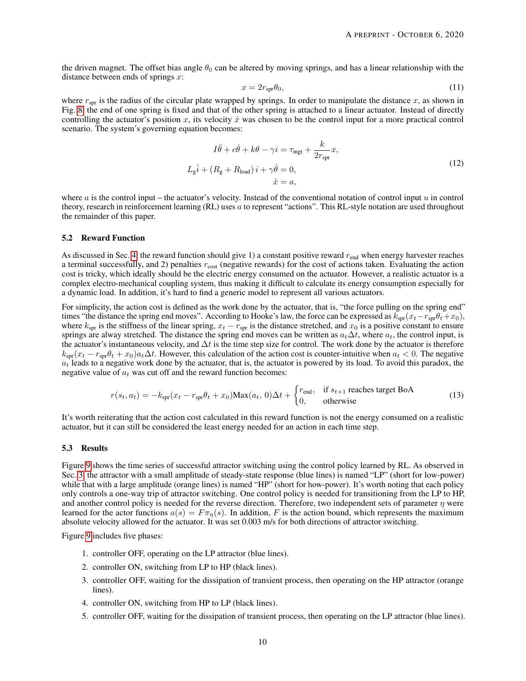the driven magnet. The offset bias angle  $\theta_0$  can be altered by moving springs, and has a linear relationship with the distance between ends of springs  $x$ :

<span id="page-9-0"></span>
$$
x = 2r_{\rm spr}\theta_0,\tag{11}
$$

where  $r_{spr}$  is the radius of the circular plate wrapped by springs. In order to manipulate the distance x, as shown in Fig. [8,](#page-8-1) the end of one spring is fixed and that of the other spring is attached to a linear actuator. Instead of directly controlling the actuator's position x, its velocity  $\dot{x}$  was chosen to be the control input for a more practical control scenario. The system's governing equation becomes:

$$
I\ddot{\theta} + c\dot{\theta} + k\theta - \gamma i = \tau_{\text{mgt}} + \frac{k}{2r_{\text{spr}}}x,
$$
  
\n
$$
L_{\text{g}}\dot{i} + (R_{\text{g}} + R_{\text{load}})\,i + \gamma\dot{\theta} = 0,
$$
  
\n
$$
\dot{x} = a,
$$
\n(12)

where  $a$  is the control input – the actuator's velocity. Instead of the conventional notation of control input  $u$  in control theory, research in reinforcement learning (RL) uses a to represent "actions". This RL-style notation are used throughout the remainder of this paper.

#### 5.2 Reward Function

As discussed in Sec. [4,](#page-3-1) the reward function should give 1) a constant positive reward  $r_{end}$  when energy harvester reaches a terminal successfully, and 2) penalties  $r_{\text{cost}}$  (negative rewards) for the cost of actions taken. Evaluating the action cost is tricky, which ideally should be the electric energy consumed on the actuator. However, a realistic actuator is a complex electro-mechanical coupling system, thus making it difficult to calculate its energy consumption especially for a dynamic load. In addition, it's hard to find a generic model to represent all various actuators.

For simplicity, the action cost is defined as the work done by the actuator, that is, "the force pulling on the spring end" times "the distance the spring end moves". According to Hooke's law, the force can be expressed as  $k_{spr}(x_t - r_{spr}\theta_t + x_0)$ , where  $k_{spr}$  is the stiffness of the linear spring,  $x_t - r_{spr}$  is the distance stretched, and  $x_0$  is a positive constant to ensure springs are alway stretched. The distance the spring end moves can be written as  $a_t\Delta t$ , where  $a_t$ , the control input, is the actuator's instantaneous velocity, and  $\Delta t$  is the time step size for control. The work done by the actuator is therefore  $k_{\text{spr}}(x_t - r_{\text{spr}}\theta_t + x_0)a_t\Delta t$ . However, this calculation of the action cost is counter-intuitive when  $a_t < 0$ . The negative  $a_t$  leads to a negative work done by the actuator, that is, the actuator is powered by its load. To avoid this paradox, the negative value of  $a_t$  was cut off and the reward function becomes:

<span id="page-9-1"></span>
$$
r(s_t, a_t) = -k_{\text{spr}}(x_t - r_{\text{spr}}\theta_t + x_0)\text{Max}(a_t, 0)\Delta t + \begin{cases} r_{\text{end}}, & \text{if } s_{t+1} \text{ reaches target BoA} \\ 0, & \text{otherwise} \end{cases}
$$
(13)

It's worth reiterating that the action cost calculated in this reward function is not the energy consumed on a realistic actuator, but it can still be considered the least energy needed for an action in each time step.

#### 5.3 Results

Figure [9](#page-10-0) shows the time series of successful attractor switching using the control policy learned by RL. As observed in Sec. [3,](#page-3-0) the attractor with a small amplitude of steady-state response (blue lines) is named "LP" (short for low-power) while that with a large amplitude (orange lines) is named "HP" (short for how-power). It's worth noting that each policy only controls a one-way trip of attractor switching. One control policy is needed for transitioning from the LP to HP, and another control policy is needed for the reverse direction. Therefore, two independent sets of parameter  $\eta$  were learned for the actor functions  $a(s) = F \pi_{\eta}(s)$ . In addition, F is the action bound, which represents the maximum absolute velocity allowed for the actuator. It was set 0.003 m/s for both directions of attractor switching.

Figure [9](#page-10-0) includes five phases:

- 1. controller OFF, operating on the LP attractor (blue lines).
- 2. controller ON, switching from LP to HP (black lines).
- 3. controller OFF, waiting for the dissipation of transient process, then operating on the HP attractor (orange lines).
- 4. controller ON, switching from HP to LP (black lines).
- 5. controller OFF, waiting for the dissipation of transient process, then operating on the LP attractor (blue lines).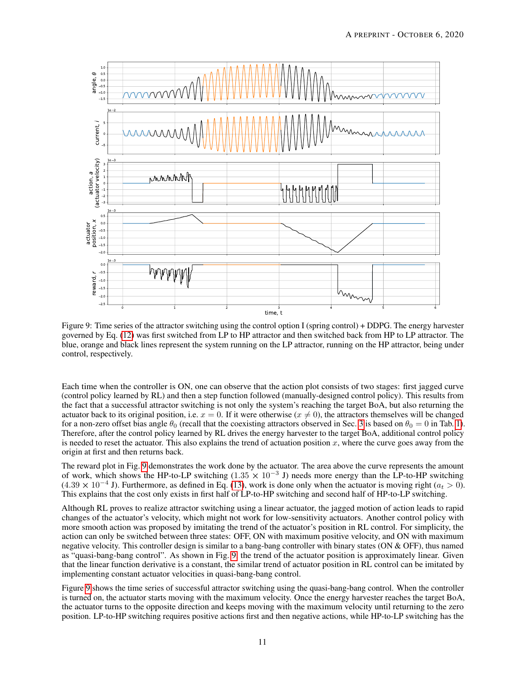<span id="page-10-0"></span>

Figure 9: Time series of the attractor switching using the control option I (spring control) + DDPG. The energy harvester governed by Eq. [\(12\)](#page-9-0) was first switched from LP to HP attractor and then switched back from HP to LP attractor. The blue, orange and black lines represent the system running on the LP attractor, running on the HP attractor, being under control, respectively.

Each time when the controller is ON, one can observe that the action plot consists of two stages: first jagged curve (control policy learned by RL) and then a step function followed (manually-designed control policy). This results from the fact that a successful attractor switching is not only the system's reaching the target BoA, but also returning the actuator back to its original position, i.e.  $x = 0$ . If it were otherwise ( $x \neq 0$ ), the attractors themselves will be changed for a non-zero offset bias angle  $\theta_0$  (recall that the coexisting attractors observed in Sec. [3](#page-3-0) is based on  $\theta_0 = 0$  in Tab. [1\)](#page-3-2). Therefore, after the control policy learned by RL drives the energy harvester to the target BoA, additional control policy is needed to reset the actuator. This also explains the trend of actuation position x, where the curve goes away from the origin at first and then returns back.

The reward plot in Fig. [9](#page-10-0) demonstrates the work done by the actuator. The area above the curve represents the amount of work, which shows the HP-to-LP switching (1.35  $\times$  10<sup>-3</sup> J) needs more energy than the LP-to-HP switching  $(4.39 \times 10^{-4} \text{ J})$ . Furthermore, as defined in Eq. [\(13\)](#page-9-1), work is done only when the actuator is moving right ( $a_t > 0$ ). This explains that the cost only exists in first half of LP-to-HP switching and second half of HP-to-LP switching.

Although RL proves to realize attractor switching using a linear actuator, the jagged motion of action leads to rapid changes of the actuator's velocity, which might not work for low-sensitivity actuators. Another control policy with more smooth action was proposed by imitating the trend of the actuator's position in RL control. For simplicity, the action can only be switched between three states: OFF, ON with maximum positive velocity, and ON with maximum negative velocity. This controller design is similar to a bang-bang controller with binary states (ON & OFF), thus named as "quasi-bang-bang control". As shown in Fig. [9,](#page-10-0) the trend of the actuator position is approximately linear. Given that the linear function derivative is a constant, the similar trend of actuator position in RL control can be imitated by implementing constant actuator velocities in quasi-bang-bang control.

Figure [9](#page-10-0) shows the time series of successful attractor switching using the quasi-bang-bang control. When the controller is turned on, the actuator starts moving with the maximum velocity. Once the energy harvester reaches the target BoA, the actuator turns to the opposite direction and keeps moving with the maximum velocity until returning to the zero position. LP-to-HP switching requires positive actions first and then negative actions, while HP-to-LP switching has the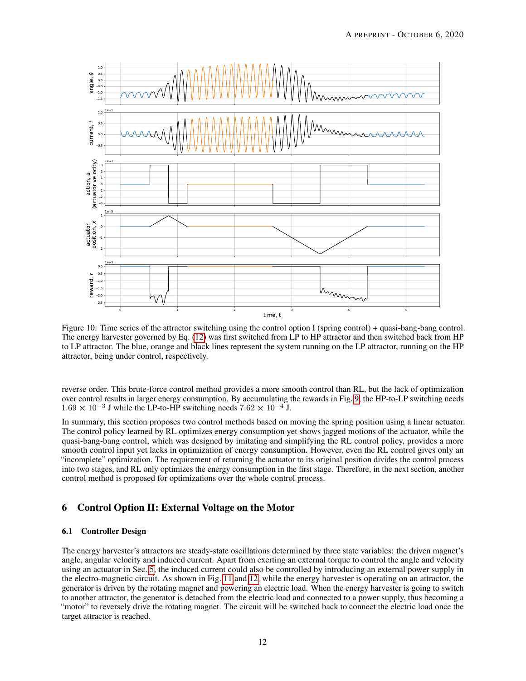

Figure 10: Time series of the attractor switching using the control option I (spring control) + quasi-bang-bang control. The energy harvester governed by Eq. [\(12\)](#page-9-0) was first switched from LP to HP attractor and then switched back from HP to LP attractor. The blue, orange and black lines represent the system running on the LP attractor, running on the HP attractor, being under control, respectively.

reverse order. This brute-force control method provides a more smooth control than RL, but the lack of optimization over control results in larger energy consumption. By accumulating the rewards in Fig. [9,](#page-10-0) the HP-to-LP switching needs 1.69 × 10<sup>-3</sup> J while the LP-to-HP switching needs 7.62 × 10<sup>-4</sup> J.

In summary, this section proposes two control methods based on moving the spring position using a linear actuator. The control policy learned by RL optimizes energy consumption yet shows jagged motions of the actuator, while the quasi-bang-bang control, which was designed by imitating and simplifying the RL control policy, provides a more smooth control input yet lacks in optimization of energy consumption. However, even the RL control gives only an "incomplete" optimization. The requirement of returning the actuator to its original position divides the control process into two stages, and RL only optimizes the energy consumption in the first stage. Therefore, in the next section, another control method is proposed for optimizations over the whole control process.

## <span id="page-11-0"></span>6 Control Option II: External Voltage on the Motor

#### 6.1 Controller Design

The energy harvester's attractors are steady-state oscillations determined by three state variables: the driven magnet's angle, angular velocity and induced current. Apart from exerting an external torque to control the angle and velocity using an actuator in Sec. [5,](#page-8-0) the induced current could also be controlled by introducing an external power supply in the electro-magnetic circuit. As shown in Fig. [11](#page-12-2) and [12,](#page-12-2) while the energy harvester is operating on an attractor, the generator is driven by the rotating magnet and powering an electric load. When the energy harvester is going to switch to another attractor, the generator is detached from the electric load and connected to a power supply, thus becoming a "motor" to reversely drive the rotating magnet. The circuit will be switched back to connect the electric load once the target attractor is reached.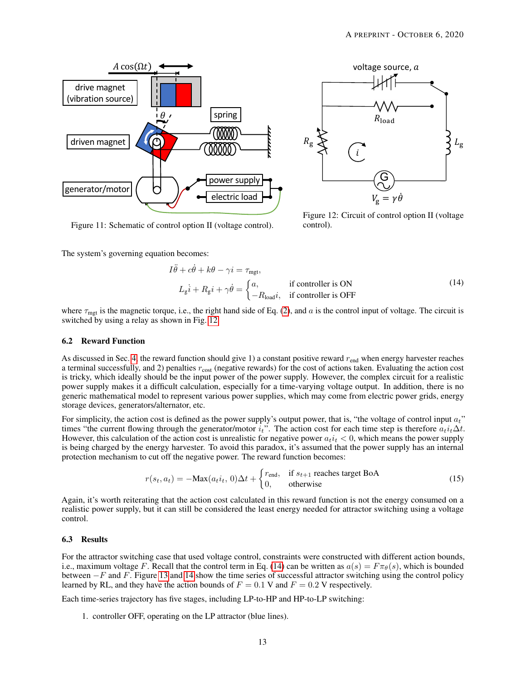<span id="page-12-2"></span>



Figure 11: Schematic of control option II (voltage control).

Figure 12: Circuit of control option II (voltage control).

The system's governing equation becomes:

<span id="page-12-0"></span>
$$
I\ddot{\theta} + c\dot{\theta} + k\theta - \gamma i = \tau_{\text{mgt}},
$$
  
\n
$$
L_{\dot{g}}\dot{i} + R_{g}\dot{i} + \gamma\dot{\theta} = \begin{cases} a, & \text{if controller is ON} \\ -R_{\text{load}}i, & \text{if controller is OFF} \end{cases}
$$
 (14)

where  $\tau_{\text{mgt}}$  is the magnetic torque, i.e., the right hand side of Eq. [\(2\)](#page-2-2), and a is the control input of voltage. The circuit is switched by using a relay as shown in Fig. [12.](#page-12-2)

#### 6.2 Reward Function

As discussed in Sec. [4,](#page-3-1) the reward function should give 1) a constant positive reward  $r_{\text{end}}$  when energy harvester reaches a terminal successfully, and 2) penalties  $r_{\text{cost}}$  (negative rewards) for the cost of actions taken. Evaluating the action cost is tricky, which ideally should be the input power of the power supply. However, the complex circuit for a realistic power supply makes it a difficult calculation, especially for a time-varying voltage output. In addition, there is no generic mathematical model to represent various power supplies, which may come from electric power grids, energy storage devices, generators/alternator, etc.

For simplicity, the action cost is defined as the power supply's output power, that is, "the voltage of control input  $a_t$ " times "the current flowing through the generator/motor  $i_t$ ". The action cost for each time step is therefore  $a_t i_t \Delta t$ . However, this calculation of the action cost is unrealistic for negative power  $a_t i_t < 0$ , which means the power supply is being charged by the energy harvester. To avoid this paradox, it's assumed that the power supply has an internal protection mechanism to cut off the negative power. The reward function becomes:

<span id="page-12-1"></span>
$$
r(s_t, a_t) = -\text{Max}(a_t i_t, 0)\Delta t + \begin{cases} r_{\text{end}}, & \text{if } s_{t+1} \text{ reaches target BoA} \\ 0, & \text{otherwise} \end{cases}
$$
(15)

Again, it's worth reiterating that the action cost calculated in this reward function is not the energy consumed on a realistic power supply, but it can still be considered the least energy needed for attractor switching using a voltage control.

#### 6.3 Results

For the attractor switching case that used voltage control, constraints were constructed with different action bounds, i.e., maximum voltage F. Recall that the control term in Eq. [\(14\)](#page-12-0) can be written as  $a(s) = F \pi_{\theta}(s)$ , which is bounded between −F and F. Figure [13](#page-13-0) and [14](#page-14-1) show the time series of successful attractor switching using the control policy learned by RL, and they have the action bounds of  $F = 0.1$  V and  $F = 0.2$  V respectively.

Each time-series trajectory has five stages, including LP-to-HP and HP-to-LP switching:

1. controller OFF, operating on the LP attractor (blue lines).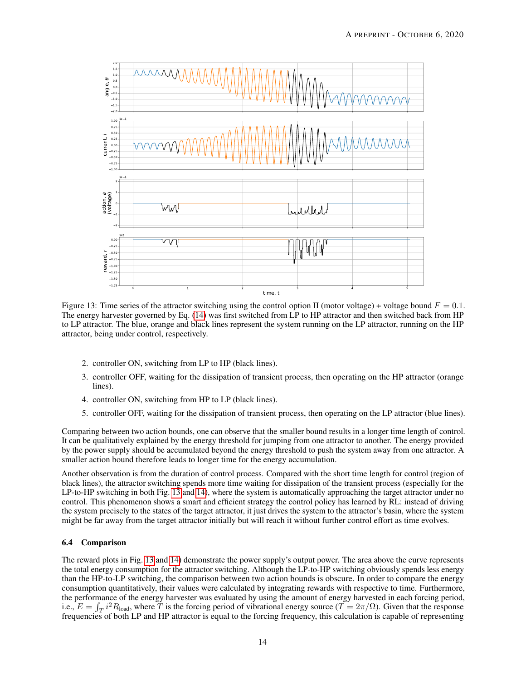<span id="page-13-0"></span>

Figure 13: Time series of the attractor switching using the control option II (motor voltage) + voltage bound  $F = 0.1$ . The energy harvester governed by Eq. [\(14\)](#page-12-0) was first switched from LP to HP attractor and then switched back from HP to LP attractor. The blue, orange and black lines represent the system running on the LP attractor, running on the HP attractor, being under control, respectively.

- 2. controller ON, switching from LP to HP (black lines).
- 3. controller OFF, waiting for the dissipation of transient process, then operating on the HP attractor (orange lines).
- 4. controller ON, switching from HP to LP (black lines).
- 5. controller OFF, waiting for the dissipation of transient process, then operating on the LP attractor (blue lines).

Comparing between two action bounds, one can observe that the smaller bound results in a longer time length of control. It can be qualitatively explained by the energy threshold for jumping from one attractor to another. The energy provided by the power supply should be accumulated beyond the energy threshold to push the system away from one attractor. A smaller action bound therefore leads to longer time for the energy accumulation.

Another observation is from the duration of control process. Compared with the short time length for control (region of black lines), the attractor switching spends more time waiting for dissipation of the transient process (especially for the LP-to-HP switching in both Fig. [13](#page-13-0) and [14\)](#page-14-1), where the system is automatically approaching the target attractor under no control. This phenomenon shows a smart and efficient strategy the control policy has learned by RL: instead of driving the system precisely to the states of the target attractor, it just drives the system to the attractor's basin, where the system might be far away from the target attractor initially but will reach it without further control effort as time evolves.

#### 6.4 Comparison

The reward plots in Fig. [13](#page-13-0) and [14\)](#page-14-1) demonstrate the power supply's output power. The area above the curve represents the total energy consumption for the attractor switching. Although the LP-to-HP switching obviously spends less energy than the HP-to-LP switching, the comparison between two action bounds is obscure. In order to compare the energy consumption quantitatively, their values were calculated by integrating rewards with respective to time. Furthermore, the performance of the energy harvester was evaluated by using the amount of energy harvested in each forcing period, i.e.,  $E = \int_T i^2 R_{load}$ , where T is the forcing period of vibrational energy source ( $T = 2\pi/\Omega$ ). Given that the response Frequencies of both LP and HP attractor is equal to the forcing frequency, this calculation is capable of representing frequencies of both LP and HP attractor is equal to the forcing frequency, this calculation is capable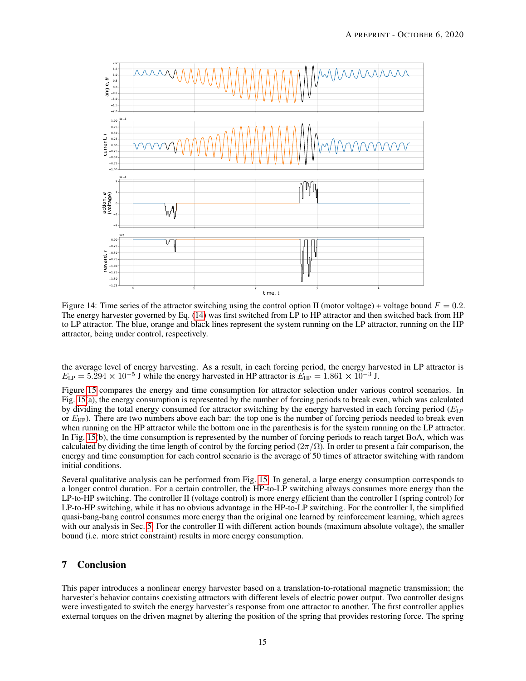<span id="page-14-1"></span>

Figure 14: Time series of the attractor switching using the control option II (motor voltage) + voltage bound  $F = 0.2$ . The energy harvester governed by Eq. [\(14\)](#page-12-0) was first switched from LP to HP attractor and then switched back from HP to LP attractor. The blue, orange and black lines represent the system running on the LP attractor, running on the HP attractor, being under control, respectively.

the average level of energy harvesting. As a result, in each forcing period, the energy harvested in LP attractor is  $E_{\text{LP}} = 5.294 \times 10^{-5}$  J while the energy harvested in HP attractor is  $E_{\text{HP}} = 1.861 \times 10^{-3}$  J.

Figure [15](#page-15-4) compares the energy and time consumption for attractor selection under various control scenarios. In Fig. [15\(](#page-15-4)a), the energy consumption is represented by the number of forcing periods to break even, which was calculated by dividing the total energy consumed for attractor switching by the energy harvested in each forcing period  $(E_{\text{LP}})$ or  $E_{HP}$ ). There are two numbers above each bar: the top one is the number of forcing periods needed to break even when running on the HP attractor while the bottom one in the parenthesis is for the system running on the LP attractor. In Fig. [15\(](#page-15-4)b), the time consumption is represented by the number of forcing periods to reach target BoA, which was calculated by dividing the time length of control by the forcing period  $(2\pi/\Omega)$ . In order to present a fair comparison, the energy and time consumption for each control scenario is the average of 50 times of attractor switching with random initial conditions.

Several qualitative analysis can be performed from Fig. [15.](#page-15-4) In general, a large energy consumption corresponds to a longer control duration. For a certain controller, the HP-to-LP switching always consumes more energy than the LP-to-HP switching. The controller II (voltage control) is more energy efficient than the controller I (spring control) for LP-to-HP switching, while it has no obvious advantage in the HP-to-LP switching. For the controller I, the simplified quasi-bang-bang control consumes more energy than the original one learned by reinforcement learning, which agrees with our analysis in Sec. [5.](#page-8-0) For the controller II with different action bounds (maximum absolute voltage), the smaller bound (i.e. more strict constraint) results in more energy consumption.

## <span id="page-14-0"></span>7 Conclusion

This paper introduces a nonlinear energy harvester based on a translation-to-rotational magnetic transmission; the harvester's behavior contains coexisting attractors with different levels of electric power output. Two controller designs were investigated to switch the energy harvester's response from one attractor to another. The first controller applies external torques on the driven magnet by altering the position of the spring that provides restoring force. The spring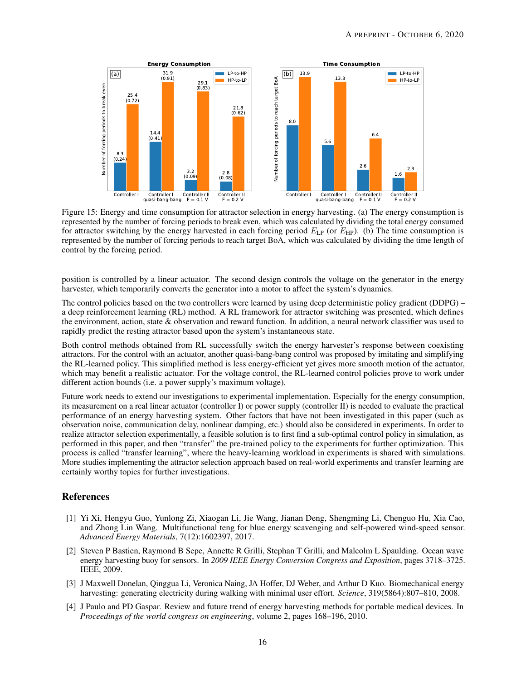<span id="page-15-4"></span>

Figure 15: Energy and time consumption for attractor selection in energy harvesting. (a) The energy consumption is represented by the number of forcing periods to break even, which was calculated by dividing the total energy consumed for attractor switching by the energy harvested in each forcing period  $E_{LP}$  (or  $E_{HP}$ ). (b) The time consumption is represented by the number of forcing periods to reach target BoA, which was calculated by dividing the time length of control by the forcing period.

position is controlled by a linear actuator. The second design controls the voltage on the generator in the energy harvester, which temporarily converts the generator into a motor to affect the system's dynamics.

The control policies based on the two controllers were learned by using deep deterministic policy gradient (DDPG) – a deep reinforcement learning (RL) method. A RL framework for attractor switching was presented, which defines the environment, action, state & observation and reward function. In addition, a neural network classifier was used to rapidly predict the resting attractor based upon the system's instantaneous state.

Both control methods obtained from RL successfully switch the energy harvester's response between coexisting attractors. For the control with an actuator, another quasi-bang-bang control was proposed by imitating and simplifying the RL-learned policy. This simplified method is less energy-efficient yet gives more smooth motion of the actuator, which may benefit a realistic actuator. For the voltage control, the RL-learned control policies prove to work under different action bounds (i.e. a power supply's maximum voltage).

Future work needs to extend our investigations to experimental implementation. Especially for the energy consumption, its measurement on a real linear actuator (controller I) or power supply (controller II) is needed to evaluate the practical performance of an energy harvesting system. Other factors that have not been investigated in this paper (such as observation noise, communication delay, nonlinear damping, etc.) should also be considered in experiments. In order to realize attractor selection experimentally, a feasible solution is to first find a sub-optimal control policy in simulation, as performed in this paper, and then "transfer" the pre-trained policy to the experiments for further optimization. This process is called "transfer learning", where the heavy-learning workload in experiments is shared with simulations. More studies implementing the attractor selection approach based on real-world experiments and transfer learning are certainly worthy topics for further investigations.

## References

- <span id="page-15-0"></span>[1] Yi Xi, Hengyu Guo, Yunlong Zi, Xiaogan Li, Jie Wang, Jianan Deng, Shengming Li, Chenguo Hu, Xia Cao, and Zhong Lin Wang. Multifunctional teng for blue energy scavenging and self-powered wind-speed sensor. *Advanced Energy Materials*, 7(12):1602397, 2017.
- <span id="page-15-1"></span>[2] Steven P Bastien, Raymond B Sepe, Annette R Grilli, Stephan T Grilli, and Malcolm L Spaulding. Ocean wave energy harvesting buoy for sensors. In *2009 IEEE Energy Conversion Congress and Exposition*, pages 3718–3725. IEEE, 2009.
- <span id="page-15-2"></span>[3] J Maxwell Donelan, Qinggua Li, Veronica Naing, JA Hoffer, DJ Weber, and Arthur D Kuo. Biomechanical energy harvesting: generating electricity during walking with minimal user effort. *Science*, 319(5864):807–810, 2008.
- <span id="page-15-3"></span>[4] J Paulo and PD Gaspar. Review and future trend of energy harvesting methods for portable medical devices. In *Proceedings of the world congress on engineering*, volume 2, pages 168–196, 2010.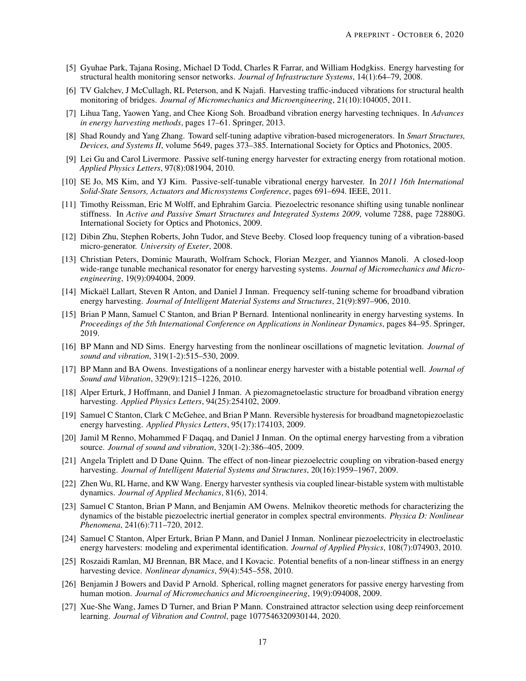- <span id="page-16-0"></span>[5] Gyuhae Park, Tajana Rosing, Michael D Todd, Charles R Farrar, and William Hodgkiss. Energy harvesting for structural health monitoring sensor networks. *Journal of Infrastructure Systems*, 14(1):64–79, 2008.
- <span id="page-16-1"></span>[6] TV Galchev, J McCullagh, RL Peterson, and K Najafi. Harvesting traffic-induced vibrations for structural health monitoring of bridges. *Journal of Micromechanics and Microengineering*, 21(10):104005, 2011.
- <span id="page-16-2"></span>[7] Lihua Tang, Yaowen Yang, and Chee Kiong Soh. Broadband vibration energy harvesting techniques. In *Advances in energy harvesting methods*, pages 17–61. Springer, 2013.
- <span id="page-16-3"></span>[8] Shad Roundy and Yang Zhang. Toward self-tuning adaptive vibration-based microgenerators. In *Smart Structures, Devices, and Systems II*, volume 5649, pages 373–385. International Society for Optics and Photonics, 2005.
- <span id="page-16-4"></span>[9] Lei Gu and Carol Livermore. Passive self-tuning energy harvester for extracting energy from rotational motion. *Applied Physics Letters*, 97(8):081904, 2010.
- <span id="page-16-5"></span>[10] SE Jo, MS Kim, and YJ Kim. Passive-self-tunable vibrational energy harvester. In *2011 16th International Solid-State Sensors, Actuators and Microsystems Conference*, pages 691–694. IEEE, 2011.
- <span id="page-16-6"></span>[11] Timothy Reissman, Eric M Wolff, and Ephrahim Garcia. Piezoelectric resonance shifting using tunable nonlinear stiffness. In *Active and Passive Smart Structures and Integrated Systems 2009*, volume 7288, page 72880G. International Society for Optics and Photonics, 2009.
- <span id="page-16-7"></span>[12] Dibin Zhu, Stephen Roberts, John Tudor, and Steve Beeby. Closed loop frequency tuning of a vibration-based micro-generator. *University of Exeter*, 2008.
- <span id="page-16-8"></span>[13] Christian Peters, Dominic Maurath, Wolfram Schock, Florian Mezger, and Yiannos Manoli. A closed-loop wide-range tunable mechanical resonator for energy harvesting systems. *Journal of Micromechanics and Microengineering*, 19(9):094004, 2009.
- <span id="page-16-9"></span>[14] Mickaël Lallart, Steven R Anton, and Daniel J Inman. Frequency self-tuning scheme for broadband vibration energy harvesting. *Journal of Intelligent Material Systems and Structures*, 21(9):897–906, 2010.
- <span id="page-16-10"></span>[15] Brian P Mann, Samuel C Stanton, and Brian P Bernard. Intentional nonlinearity in energy harvesting systems. In *Proceedings of the 5th International Conference on Applications in Nonlinear Dynamics*, pages 84–95. Springer, 2019.
- <span id="page-16-11"></span>[16] BP Mann and ND Sims. Energy harvesting from the nonlinear oscillations of magnetic levitation. *Journal of sound and vibration*, 319(1-2):515–530, 2009.
- <span id="page-16-12"></span>[17] BP Mann and BA Owens. Investigations of a nonlinear energy harvester with a bistable potential well. *Journal of Sound and Vibration*, 329(9):1215–1226, 2010.
- <span id="page-16-13"></span>[18] Alper Erturk, J Hoffmann, and Daniel J Inman. A piezomagnetoelastic structure for broadband vibration energy harvesting. *Applied Physics Letters*, 94(25):254102, 2009.
- <span id="page-16-14"></span>[19] Samuel C Stanton, Clark C McGehee, and Brian P Mann. Reversible hysteresis for broadband magnetopiezoelastic energy harvesting. *Applied Physics Letters*, 95(17):174103, 2009.
- <span id="page-16-15"></span>[20] Jamil M Renno, Mohammed F Daqaq, and Daniel J Inman. On the optimal energy harvesting from a vibration source. *Journal of sound and vibration*, 320(1-2):386–405, 2009.
- <span id="page-16-16"></span>[21] Angela Triplett and D Dane Quinn. The effect of non-linear piezoelectric coupling on vibration-based energy harvesting. *Journal of Intelligent Material Systems and Structures*, 20(16):1959–1967, 2009.
- <span id="page-16-17"></span>[22] Zhen Wu, RL Harne, and KW Wang. Energy harvester synthesis via coupled linear-bistable system with multistable dynamics. *Journal of Applied Mechanics*, 81(6), 2014.
- <span id="page-16-18"></span>[23] Samuel C Stanton, Brian P Mann, and Benjamin AM Owens. Melnikov theoretic methods for characterizing the dynamics of the bistable piezoelectric inertial generator in complex spectral environments. *Physica D: Nonlinear Phenomena*, 241(6):711–720, 2012.
- <span id="page-16-19"></span>[24] Samuel C Stanton, Alper Erturk, Brian P Mann, and Daniel J Inman. Nonlinear piezoelectricity in electroelastic energy harvesters: modeling and experimental identification. *Journal of Applied Physics*, 108(7):074903, 2010.
- <span id="page-16-20"></span>[25] Roszaidi Ramlan, MJ Brennan, BR Mace, and I Kovacic. Potential benefits of a non-linear stiffness in an energy harvesting device. *Nonlinear dynamics*, 59(4):545–558, 2010.
- <span id="page-16-21"></span>[26] Benjamin J Bowers and David P Arnold. Spherical, rolling magnet generators for passive energy harvesting from human motion. *Journal of Micromechanics and Microengineering*, 19(9):094008, 2009.
- <span id="page-16-22"></span>[27] Xue-She Wang, James D Turner, and Brian P Mann. Constrained attractor selection using deep reinforcement learning. *Journal of Vibration and Control*, page 1077546320930144, 2020.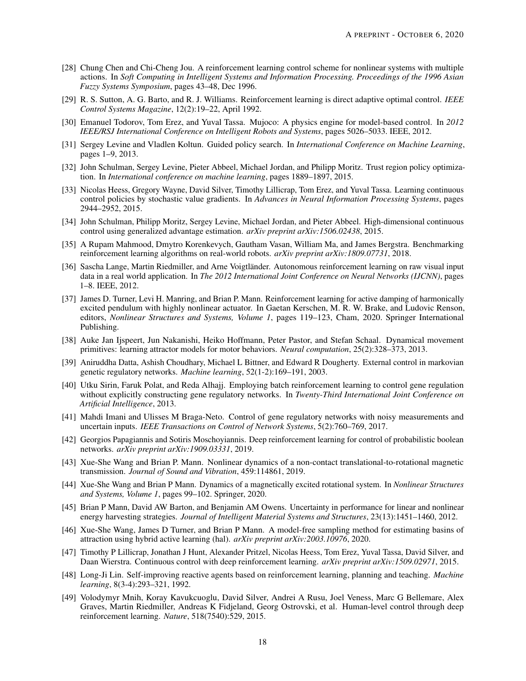- <span id="page-17-0"></span>[28] Chung Chen and Chi-Cheng Jou. A reinforcement learning control scheme for nonlinear systems with multiple actions. In *Soft Computing in Intelligent Systems and Information Processing. Proceedings of the 1996 Asian Fuzzy Systems Symposium*, pages 43–48, Dec 1996.
- <span id="page-17-1"></span>[29] R. S. Sutton, A. G. Barto, and R. J. Williams. Reinforcement learning is direct adaptive optimal control. *IEEE Control Systems Magazine*, 12(2):19–22, April 1992.
- <span id="page-17-2"></span>[30] Emanuel Todorov, Tom Erez, and Yuval Tassa. Mujoco: A physics engine for model-based control. In *2012 IEEE/RSJ International Conference on Intelligent Robots and Systems*, pages 5026–5033. IEEE, 2012.
- <span id="page-17-3"></span>[31] Sergey Levine and Vladlen Koltun. Guided policy search. In *International Conference on Machine Learning*, pages 1–9, 2013.
- <span id="page-17-4"></span>[32] John Schulman, Sergey Levine, Pieter Abbeel, Michael Jordan, and Philipp Moritz. Trust region policy optimization. In *International conference on machine learning*, pages 1889–1897, 2015.
- <span id="page-17-5"></span>[33] Nicolas Heess, Gregory Wayne, David Silver, Timothy Lillicrap, Tom Erez, and Yuval Tassa. Learning continuous control policies by stochastic value gradients. In *Advances in Neural Information Processing Systems*, pages 2944–2952, 2015.
- <span id="page-17-6"></span>[34] John Schulman, Philipp Moritz, Sergey Levine, Michael Jordan, and Pieter Abbeel. High-dimensional continuous control using generalized advantage estimation. *arXiv preprint arXiv:1506.02438*, 2015.
- <span id="page-17-7"></span>[35] A Rupam Mahmood, Dmytro Korenkevych, Gautham Vasan, William Ma, and James Bergstra. Benchmarking reinforcement learning algorithms on real-world robots. *arXiv preprint arXiv:1809.07731*, 2018.
- <span id="page-17-8"></span>[36] Sascha Lange, Martin Riedmiller, and Arne Voigtländer. Autonomous reinforcement learning on raw visual input data in a real world application. In *The 2012 International Joint Conference on Neural Networks (IJCNN)*, pages 1–8. IEEE, 2012.
- <span id="page-17-9"></span>[37] James D. Turner, Levi H. Manring, and Brian P. Mann. Reinforcement learning for active damping of harmonically excited pendulum with highly nonlinear actuator. In Gaetan Kerschen, M. R. W. Brake, and Ludovic Renson, editors, *Nonlinear Structures and Systems, Volume 1*, pages 119–123, Cham, 2020. Springer International Publishing.
- <span id="page-17-10"></span>[38] Auke Jan Ijspeert, Jun Nakanishi, Heiko Hoffmann, Peter Pastor, and Stefan Schaal. Dynamical movement primitives: learning attractor models for motor behaviors. *Neural computation*, 25(2):328–373, 2013.
- <span id="page-17-11"></span>[39] Aniruddha Datta, Ashish Choudhary, Michael L Bittner, and Edward R Dougherty. External control in markovian genetic regulatory networks. *Machine learning*, 52(1-2):169–191, 2003.
- <span id="page-17-12"></span>[40] Utku Sirin, Faruk Polat, and Reda Alhajj. Employing batch reinforcement learning to control gene regulation without explicitly constructing gene regulatory networks. In *Twenty-Third International Joint Conference on Artificial Intelligence*, 2013.
- <span id="page-17-13"></span>[41] Mahdi Imani and Ulisses M Braga-Neto. Control of gene regulatory networks with noisy measurements and uncertain inputs. *IEEE Transactions on Control of Network Systems*, 5(2):760–769, 2017.
- <span id="page-17-14"></span>[42] Georgios Papagiannis and Sotiris Moschoyiannis. Deep reinforcement learning for control of probabilistic boolean networks. *arXiv preprint arXiv:1909.03331*, 2019.
- <span id="page-17-15"></span>[43] Xue-She Wang and Brian P. Mann. Nonlinear dynamics of a non-contact translational-to-rotational magnetic transmission. *Journal of Sound and Vibration*, 459:114861, 2019.
- <span id="page-17-16"></span>[44] Xue-She Wang and Brian P Mann. Dynamics of a magnetically excited rotational system. In *Nonlinear Structures and Systems, Volume 1*, pages 99–102. Springer, 2020.
- <span id="page-17-17"></span>[45] Brian P Mann, David AW Barton, and Benjamin AM Owens. Uncertainty in performance for linear and nonlinear energy harvesting strategies. *Journal of Intelligent Material Systems and Structures*, 23(13):1451–1460, 2012.
- <span id="page-17-18"></span>[46] Xue-She Wang, James D Turner, and Brian P Mann. A model-free sampling method for estimating basins of attraction using hybrid active learning (hal). *arXiv preprint arXiv:2003.10976*, 2020.
- <span id="page-17-19"></span>[47] Timothy P Lillicrap, Jonathan J Hunt, Alexander Pritzel, Nicolas Heess, Tom Erez, Yuval Tassa, David Silver, and Daan Wierstra. Continuous control with deep reinforcement learning. *arXiv preprint arXiv:1509.02971*, 2015.
- <span id="page-17-20"></span>[48] Long-Ji Lin. Self-improving reactive agents based on reinforcement learning, planning and teaching. *Machine learning*, 8(3-4):293–321, 1992.
- <span id="page-17-21"></span>[49] Volodymyr Mnih, Koray Kavukcuoglu, David Silver, Andrei A Rusu, Joel Veness, Marc G Bellemare, Alex Graves, Martin Riedmiller, Andreas K Fidjeland, Georg Ostrovski, et al. Human-level control through deep reinforcement learning. *Nature*, 518(7540):529, 2015.